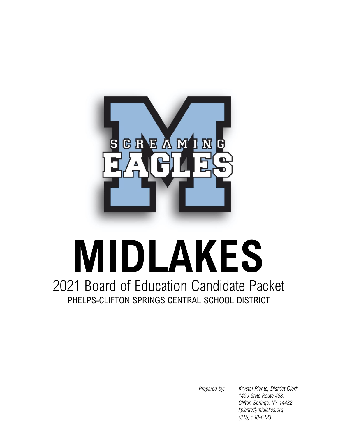

# 2021 Board of Education Candidate Packet PHELPS-CLIFTON SPRINGS CENTRAL SCHOOL DISTRICT **MIDLAKES**

*Prepared by: Krystal Plante, District Clerk 1490 State Route 488, Clifton Springs, NY 14432 kplante@midlakes.org (315) 548-6423*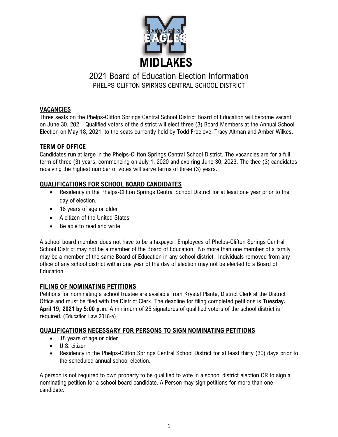

### **VACANCIES**

Three seats on the Phelps-Clifton Springs Central School District Board of Education will become vacant on June 30, 2021. Qualified voters of the district will elect three (3) Board Members at the Annual School Election on May 18, 2021, to the seats currently held by Todd Freelove, Tracy Altman and Amber Wilkes.

## **TERM OF OFFICE**

Candidates run at large in the Phelps-Clifton Springs Central School District. The vacancies are for a full term of three (3) years, commencing on July 1, 2020 and expiring June 30, 2023. The thee (3) candidates receiving the highest number of votes will serve terms of three (3) years.

## **QUALIFICATIONS FOR SCHOOL BOARD CANDIDATES**

- Residency in the Phelps-Clifton Springs Central School District for at least one year prior to the day of election.
- 18 years of age or older
- A citizen of the United States
- Be able to read and write

A school board member does not have to be a taxpayer. Employees of Phelps-Clifton Springs Central School District may not be a member of the Board of Education. No more than one member of a family may be a member of the same Board of Education in any school district. Individuals removed from any office of any school district within one year of the day of election may not be elected to a Board of Education.

#### **FILING OF NOMINATING PETITIONS**

Petitions for nominating a school trustee are available from Krystal Plante, District Clerk at the District Office and must be filed with the District Clerk. The deadline for filing completed petitions is **Tuesday, April 19, 2021 by 5:00 p.m.** A minimum of 25 signatures of qualified voters of the school district is required. (Education Law 2018-a)

## **QUALIFICATIONS NECESSARY FOR PERSONS TO SIGN NOMINATING PETITIONS**

- 18 years of age or older
- U.S. citizen
- Residency in the Phelps-Clifton Springs Central School District for at least thirty (30) days prior to the scheduled annual school election.

A person is not required to own property to be qualified to vote in a school district election OR to sign a nominating petition for a school board candidate. A Person may sign petitions for more than one candidate.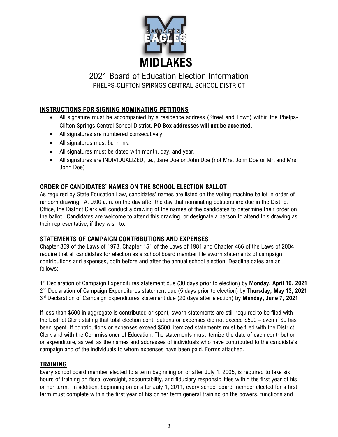

## **INSTRUCTIONS FOR SIGNING NOMINATING PETITIONS**

- All signature must be accompanied by a residence address (Street and Town) within the Phelps-Clifton Springs Central School District. **PO Box addresses will not be accepted.**
- All signatures are numbered consecutively.
- All signatures must be in ink.
- All signatures must be dated with month, day, and year.
- All signatures are INDIVIDUALIZED, i.e., Jane Doe or John Doe (not Mrs. John Doe or Mr. and Mrs. John Doe)

## **ORDER OF CANDIDATES' NAMES ON THE SCHOOL ELECTION BALLOT**

As required by State Education Law, candidates' names are listed on the voting machine ballot in order of random drawing. At 9:00 a.m. on the day after the day that nominating petitions are due in the District Office, the District Clerk will conduct a drawing of the names of the candidates to determine their order on the ballot. Candidates are welcome to attend this drawing, or designate a person to attend this drawing as their representative, if they wish to.

## **STATEMENTS OF CAMPAIGN CONTRIBUTIONS AND EXPENSES**

Chapter 359 of the Laws of 1978, Chapter 151 of the Laws of 1981 and Chapter 466 of the Laws of 2004 require that all candidates for election as a school board member file sworn statements of campaign contributions and expenses, both before and after the annual school election. Deadline dates are as follows:

1 st Declaration of Campaign Expenditures statement due (30 days prior to election) by **Monday, April 19, 2021** 2 nd Declaration of Campaign Expenditures statement due (5 days prior to election) by **Thursday, May 13, 2021** 3 rd Declaration of Campaign Expenditures statement due (20 days after election) by **Monday, June 7, 2021**

If less than \$500 in aggregate is contributed or spent, sworn statements are still required to be filed with the District Clerk stating that total election contributions or expenses did not exceed \$500 – even if \$0 has been spent. If contributions or expenses exceed \$500, itemized statements must be filed with the District Clerk and with the Commissioner of Education. The statements must itemize the date of each contribution or expenditure, as well as the names and addresses of individuals who have contributed to the candidate's campaign and of the individuals to whom expenses have been paid. Forms attached.

#### **TRAINING**

Every school board member elected to a term beginning on or after July 1, 2005, is required to take six hours of training on fiscal oversight, accountability, and fiduciary responsibilities within the first year of his or her term. In addition, beginning on or after July 1, 2011, every school board member elected for a first term must complete within the first year of his or her term general training on the powers, functions and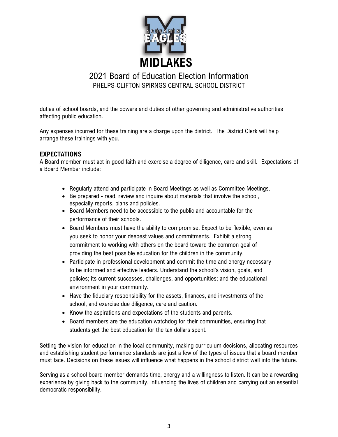

duties of school boards, and the powers and duties of other governing and administrative authorities affecting public education.

Any expenses incurred for these training are a charge upon the district. The District Clerk will help arrange these trainings with you.

#### **EXPECTATIONS**

A Board member must act in good faith and exercise a degree of diligence, care and skill. Expectations of a Board Member include:

- Regularly attend and participate in Board Meetings as well as Committee Meetings.
- Be prepared read, review and inquire about materials that involve the school, especially reports, plans and policies.
- Board Members need to be accessible to the public and accountable for the performance of their schools.
- Board Members must have the ability to compromise. Expect to be flexible, even as you seek to honor your deepest values and commitments. Exhibit a strong commitment to working with others on the board toward the common goal of providing the best possible education for the children in the community.
- Participate in professional development and commit the time and energy necessary to be informed and effective leaders. Understand the school's vision, goals, and policies; its current successes, challenges, and opportunities; and the educational environment in your community.
- Have the fiduciary responsibility for the assets, finances, and investments of the school, and exercise due diligence, care and caution.
- Know the aspirations and expectations of the students and parents.
- Board members are the education watchdog for their communities, ensuring that students get the best education for the tax dollars spent.

Setting the vision for education in the local community, making curriculum decisions, allocating resources and establishing student performance standards are just a few of the types of issues that a board member must face. Decisions on these issues will influence what happens in the school district well into the future.

Serving as a school board member demands time, energy and a willingness to listen. It can be a rewarding experience by giving back to the community, influencing the lives of children and carrying out an essential democratic responsibility.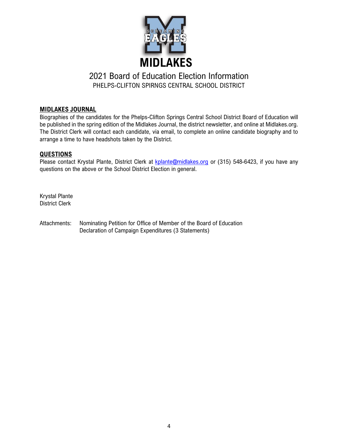

#### **MIDLAKES JOURNAL**

Biographies of the candidates for the Phelps-Clifton Springs Central School District Board of Education will be published in the spring edition of the Midlakes Journal, the district newsletter, and online at Midlakes.org. The District Clerk will contact each candidate, via email, to complete an online candidate biography and to arrange a time to have headshots taken by the District.

#### **QUESTIONS**

Please contact Krystal Plante, District Clerk at [kplante@midlakes.org](mailto:kplante@midlakes.org) or (315) 548-6423, if you have any questions on the above or the School District Election in general.

Krystal Plante District Clerk

Attachments: Nominating Petition for Office of Member of the Board of Education Declaration of Campaign Expenditures (3 Statements)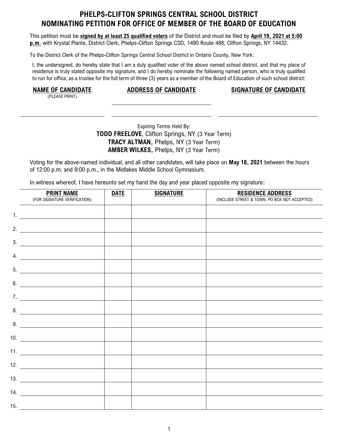## **PHELPS-CLIFTON SPRINGS CENTRAL SCHOOL DISTRICT NOMINATING PETITION FOR OFFICE OF MEMBER OF THE BOARD OF EDUCATION**

This petition must be **signed by at least 25 qualified voters** of the District and must be filed by **April 19, 2021 at 5:00 p.m.** with Krystal Plante, District Clerk, Phelps-Clifton Springs CSD, 1490 Route 488, Clifton Springs, NY 14432.

To the District Clerk of the Phelps-Clifton Springs Central School District in Ontario County, New York:

I, the undersigned, do hereby state that I am a duly qualified voter of the above named school district, and that my place of residence is truly stated opposite my signature, and I do hereby nominate the following named person, who is truly qualified to run for office, as a trustee for the full term of three (3) years as a member of the Board of Education of such school district:

(PLEASE PRINT)

**NAME OF CANDIDATE ADDRESS OF CANDIDATE SIGNATURE OF CANDIDATE**

#### Expiring Terms Held By: **TODD FREELOVE**, Clifton Springs, NY (3 Year Term) **TRACY ALTMAN,** Phelps, NY (3 Year Term) **AMBER WILKES,** Phelps, NY (3 Year Term)

Voting for the above-named individual, and all other candidates, will take place on **May 18, 2021** between the hours of 12:00 p.m. and 9:00 p.m., in the Midlakes Middle School Gymnasium.

In witness whereof, I have hereunto set my hand the day and year placed opposite my signature**:**

|     | <b>PRINT NAME</b><br>(FOR SIGNATURE VERIFICATION)                                                                                                                                                                                    | <b>DATE</b> | <b>SIGNATURE</b> | <b>RESIDENCE ADDRESS</b><br>(INCLUDE STREET & TOWN, PO BOX NOT ACCEPTED) |
|-----|--------------------------------------------------------------------------------------------------------------------------------------------------------------------------------------------------------------------------------------|-------------|------------------|--------------------------------------------------------------------------|
|     | 1. $\qquad \qquad$                                                                                                                                                                                                                   |             |                  |                                                                          |
|     | 2. $\qquad \qquad$                                                                                                                                                                                                                   |             |                  |                                                                          |
|     | $\overline{\phantom{a}}$ 3.                                                                                                                                                                                                          |             |                  |                                                                          |
| 4.  | <u> Alexandria de la contrada de la contrada de la contrada de la contrada de la contrada de la contrada de la c</u>                                                                                                                 |             |                  |                                                                          |
|     | 5.                                                                                                                                                                                                                                   |             |                  |                                                                          |
| 6.  | <u> 1989 - Jan Stern Stern Stern Stern Stern Stern Stern Stern Stern Stern Stern Stern Stern Stern Stern Stern Stern Stern Stern Stern Stern Stern Stern Stern Stern Stern Stern Stern Stern Stern Stern Stern Stern Stern Stern</u> |             |                  |                                                                          |
|     | $\overline{7}$ .                                                                                                                                                                                                                     |             |                  |                                                                          |
|     |                                                                                                                                                                                                                                      |             |                  |                                                                          |
|     | $9.$ $\overline{\phantom{2557}}$                                                                                                                                                                                                     |             |                  |                                                                          |
|     |                                                                                                                                                                                                                                      |             |                  |                                                                          |
|     | 11. $\frac{1}{\sqrt{1-\frac{1}{2}}\left\vert \frac{1}{2(1-\frac{1}{2})^2}\right\vert^2}$                                                                                                                                             |             |                  |                                                                          |
|     |                                                                                                                                                                                                                                      |             |                  |                                                                          |
|     |                                                                                                                                                                                                                                      |             |                  |                                                                          |
|     | $\overline{\phantom{a}14.}$                                                                                                                                                                                                          |             |                  |                                                                          |
| 15. |                                                                                                                                                                                                                                      |             |                  |                                                                          |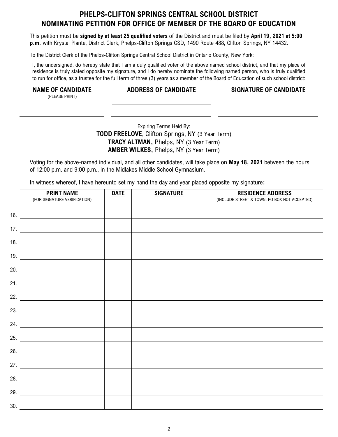## **PHELPS-CLIFTON SPRINGS CENTRAL SCHOOL DISTRICT NOMINATING PETITION FOR OFFICE OF MEMBER OF THE BOARD OF EDUCATION**

This petition must be **signed by at least 25 qualified voters** of the District and must be filed by **April 19, 2021 at 5:00 p.m.** with Krystal Plante, District Clerk, Phelps-Clifton Springs CSD, 1490 Route 488, Clifton Springs, NY 14432.

To the District Clerk of the Phelps-Clifton Springs Central School District in Ontario County, New York:

I, the undersigned, do hereby state that I am a duly qualified voter of the above named school district, and that my place of residence is truly stated opposite my signature, and I do hereby nominate the following named person, who is truly qualified to run for office, as a trustee for the full term of three (3) years as a member of the Board of Education of such school district:

(PLEASE PRINT)

**NAME OF CANDIDATE ADDRESS OF CANDIDATE SIGNATURE OF CANDIDATE**

Expiring Terms Held By: **TODD FREELOVE**, Clifton Springs, NY (3 Year Term) **TRACY ALTMAN,** Phelps, NY (3 Year Term) **AMBER WILKES,** Phelps, NY (3 Year Term)

Voting for the above-named individual, and all other candidates, will take place on **May 18, 2021** between the hours of 12:00 p.m. and 9:00 p.m., in the Midlakes Middle School Gymnasium.

In witness whereof, I have hereunto set my hand the day and year placed opposite my signature**:**

|     | <b>PRINT NAME</b><br>(FOR SIGNATURE VERIFICATION) | <b>DATE</b> | <b>SIGNATURE</b> | <b>RESIDENCE ADDRESS</b><br>(INCLUDE STREET & TOWN, PO BOX NOT ACCEPTED) |
|-----|---------------------------------------------------|-------------|------------------|--------------------------------------------------------------------------|
|     |                                                   |             |                  |                                                                          |
|     |                                                   |             |                  |                                                                          |
|     |                                                   |             |                  |                                                                          |
|     | 19.                                               |             |                  |                                                                          |
|     | 20.                                               |             |                  |                                                                          |
|     |                                                   |             |                  |                                                                          |
|     | 22. $\qquad \qquad$                               |             |                  |                                                                          |
|     |                                                   |             |                  |                                                                          |
|     | 24.                                               |             |                  |                                                                          |
|     |                                                   |             |                  |                                                                          |
|     | 26.                                               |             |                  |                                                                          |
|     |                                                   |             |                  |                                                                          |
|     | 28.                                               |             |                  |                                                                          |
|     | 29.                                               |             |                  |                                                                          |
| 30. |                                                   |             |                  |                                                                          |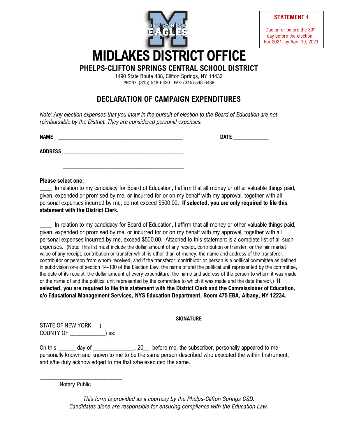

**STATEMENT 1**

Due on or before the 30<sup>th</sup> day before the election. For 2021: by April 19, 2021

1490 State Route 488, Clifton Springs, NY 14432

PHONE: (315) 548-6420 | FAX: (315) 548-6439

# **DECLARATION OF CAMPAIGN EXPENDITURES**

*Note: Any election expenses that you incur in the pursuit of election to the Board of Education are not reimbursable by the District. They are considered personal expenses.*

 $\overline{\phantom{a}}$  , which is a set of the set of the set of the set of the set of the set of the set of the set of the set of the set of the set of the set of the set of the set of the set of the set of the set of the set of th

**NAME** \_\_\_\_\_\_\_\_\_\_\_\_\_\_\_\_\_\_\_\_\_\_\_\_\_\_\_\_\_\_\_\_\_\_\_\_\_\_\_\_\_\_ **DATE** \_\_\_\_\_\_\_\_\_\_\_\_

**ADDRESS** \_\_\_\_\_\_\_\_\_\_\_\_\_\_\_\_\_\_\_\_\_\_\_\_\_\_\_\_\_\_\_\_\_\_\_\_\_\_\_\_\_

#### **Please select one:**

In relation to my candidacy for Board of Education, I affirm that all money or other valuable things paid, given, expended or promised by me, or incurred for or on my behalf with my approval, together with all personal expenses incurred by me, do not exceed \$500.00. **If selected, you are only required to file this statement with the District Clerk.**

\_\_\_\_ In relation to my candidacy for Board of Education, I affirm that all money or other valuable things paid, given, expended or promised by me, or incurred for or on my behalf with my approval, together with all personal expenses incurred by me, exceed \$500.00. Attached to this statement is a complete list of all such expenses. (Note: This list must include the dollar amount of any receipt, contribution or transfer, or the fair market value of any receipt, contribution or transfer which is other than of money, the name and address of the transferor, contributor or person from whom received, and if the transferor, contributor or person is a political committee as defined in subdivision one of section 14-100 of the Election Law; the name of and the political unit represented by the committee, the date of its receipt, the dollar amount of every expenditure, the name and address of the person to whom it was made or the name of and the political unit represented by the committee to which it was made and the date thereof.) **If selected, you are required to file this statement with the District Clerk and the Commissioner of Education, c/o Educational Management Services, NYS Education Department, Room 475 EBA, Albany, NY 12234.**

> \_\_\_\_\_\_\_\_\_\_\_\_\_\_\_\_\_\_\_\_\_\_\_\_\_\_\_\_\_\_\_\_\_\_\_\_\_\_\_\_\_\_ **SIGNATURE**

STATE OF NEW YORK ) COUNTY OF \_\_\_\_\_\_\_\_\_\_\_\_) ss:

On this day of 20 , before me, the subscriber, personally appeared to me personally known and known to me to be the same person described who executed the within Instrument, and s/he duly acknowledged to me that s/he executed the same.

Notary Public

\_\_\_\_\_\_\_\_\_\_\_\_\_\_\_\_\_\_\_\_\_\_\_\_\_\_\_\_

*This form is provided as a courtesy by the Phelps-Clifton Springs CSD. Candidates alone are responsible for ensuring compliance with the Education Law.*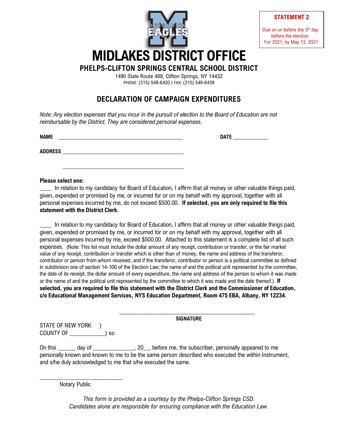

**STATEMENT 2**

Due on or before the 5<sup>th</sup> day before the election. For 2021: by May 13, 2021

1490 State Route 488, Clifton Springs, NY 14432

PHONE: (315) 548-6420 | FAX: (315) 548-6439

# **DECLARATION OF CAMPAIGN EXPENDITURES**

*Note: Any election expenses that you incur in the pursuit of election to the Board of Education are not reimbursable by the District. They are considered personal expenses.*

 $\overline{\phantom{a}}$  , which is a set of the set of the set of the set of the set of the set of the set of the set of the set of the set of the set of the set of the set of the set of the set of the set of the set of the set of th

**NAME** \_\_\_\_\_\_\_\_\_\_\_\_\_\_\_\_\_\_\_\_\_\_\_\_\_\_\_\_\_\_\_\_\_\_\_\_\_\_\_\_\_\_ **DATE** \_\_\_\_\_\_\_\_\_\_\_\_

**ADDRESS** \_\_\_\_\_\_\_\_\_\_\_\_\_\_\_\_\_\_\_\_\_\_\_\_\_\_\_\_\_\_\_\_\_\_\_\_\_\_\_\_\_

#### **Please select one:**

In relation to my candidacy for Board of Education, I affirm that all money or other valuable things paid, given, expended or promised by me, or incurred for or on my behalf with my approval, together with all personal expenses incurred by me, do not exceed \$500.00. **If selected, you are only required to file this statement with the District Clerk.**

\_\_\_\_ In relation to my candidacy for Board of Education, I affirm that all money or other valuable things paid, given, expended or promised by me, or incurred for or on my behalf with my approval, together with all personal expenses incurred by me, exceed \$500.00. Attached to this statement is a complete list of all such expenses. (Note: This list must include the dollar amount of any receipt, contribution or transfer, or the fair market value of any receipt, contribution or transfer which is other than of money, the name and address of the transferor, contributor or person from whom received, and if the transferor, contributor or person is a political committee as defined in subdivision one of section 14-100 of the Election Law; the name of and the political unit represented by the committee, the date of its receipt, the dollar amount of every expenditure, the name and address of the person to whom it was made or the name of and the political unit represented by the committee to which it was made and the date thereof.) **If selected, you are required to file this statement with the District Clerk and the Commissioner of Education, c/o Educational Management Services, NYS Education Department, Room 475 EBA, Albany, NY 12234.**

> \_\_\_\_\_\_\_\_\_\_\_\_\_\_\_\_\_\_\_\_\_\_\_\_\_\_\_\_\_\_\_\_\_\_\_\_\_\_\_\_\_\_ **SIGNATURE**

STATE OF NEW YORK ) COUNTY OF \_\_\_\_\_\_\_\_\_\_\_\_) ss:

On this day of 20 , before me, the subscriber, personally appeared to me personally known and known to me to be the same person described who executed the within Instrument, and s/he duly acknowledged to me that s/he executed the same.

Notary Public

\_\_\_\_\_\_\_\_\_\_\_\_\_\_\_\_\_\_\_\_\_\_\_\_\_\_\_\_

*This form is provided as a courtesy by the Phelps-Clifton Springs CSD. Candidates alone are responsible for ensuring compliance with the Education Law.*